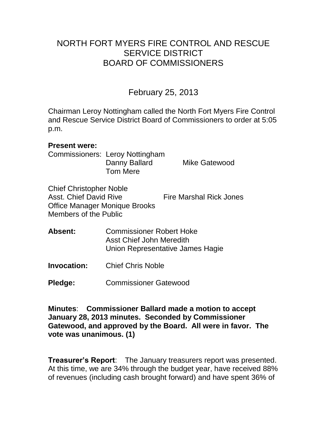# NORTH FORT MYERS FIRE CONTROL AND RESCUE SERVICE DISTRICT BOARD OF COMMISSIONERS

# February 25, 2013

Chairman Leroy Nottingham called the North Fort Myers Fire Control and Rescue Service District Board of Commissioners to order at 5:05 p.m.

#### **Present were:**

Commissioners: Leroy Nottingham Danny Ballard Mike Gatewood Tom Mere

Chief Christopher Noble Asst. Chief David Rive Fire Marshal Rick Jones Office Manager Monique Brooks Members of the Public

- **Absent:** Commissioner Robert Hoke Asst Chief John Meredith Union Representative James Hagie
- **Invocation:** Chief Chris Noble
- **Pledge:** Commissioner Gatewood

**Minutes**: **Commissioner Ballard made a motion to accept January 28, 2013 minutes. Seconded by Commissioner Gatewood, and approved by the Board. All were in favor. The vote was unanimous. (1)** 

**Treasurer's Report**: The January treasurers report was presented. At this time, we are 34% through the budget year, have received 88% of revenues (including cash brought forward) and have spent 36% of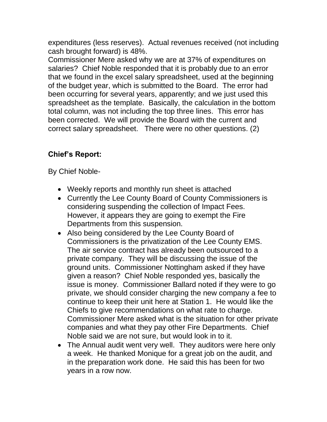expenditures (less reserves). Actual revenues received (not including cash brought forward) is 48%.

Commissioner Mere asked why we are at 37% of expenditures on salaries? Chief Noble responded that it is probably due to an error that we found in the excel salary spreadsheet, used at the beginning of the budget year, which is submitted to the Board. The error had been occurring for several years, apparently; and we just used this spreadsheet as the template. Basically, the calculation in the bottom total column, was not including the top three lines. This error has been corrected. We will provide the Board with the current and correct salary spreadsheet. There were no other questions. (2)

# **Chief's Report:**

By Chief Noble-

- Weekly reports and monthly run sheet is attached
- Currently the Lee County Board of County Commissioners is considering suspending the collection of Impact Fees. However, it appears they are going to exempt the Fire Departments from this suspension.
- Also being considered by the Lee County Board of Commissioners is the privatization of the Lee County EMS. The air service contract has already been outsourced to a private company. They will be discussing the issue of the ground units. Commissioner Nottingham asked if they have given a reason? Chief Noble responded yes, basically the issue is money. Commissioner Ballard noted if they were to go private, we should consider charging the new company a fee to continue to keep their unit here at Station 1. He would like the Chiefs to give recommendations on what rate to charge. Commissioner Mere asked what is the situation for other private companies and what they pay other Fire Departments. Chief Noble said we are not sure, but would look in to it.
- The Annual audit went very well. They auditors were here only a week. He thanked Monique for a great job on the audit, and in the preparation work done. He said this has been for two years in a row now.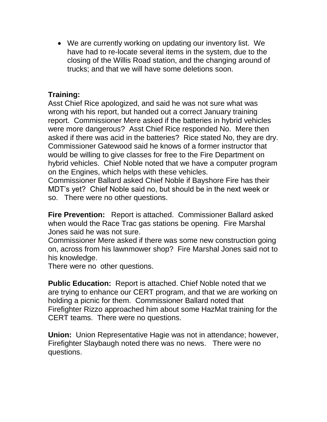We are currently working on updating our inventory list. We have had to re-locate several items in the system, due to the closing of the Willis Road station, and the changing around of trucks; and that we will have some deletions soon.

# **Training:**

Asst Chief Rice apologized, and said he was not sure what was wrong with his report, but handed out a correct January training report. Commissioner Mere asked if the batteries in hybrid vehicles were more dangerous? Asst Chief Rice responded No. Mere then asked if there was acid in the batteries? Rice stated No, they are dry. Commissioner Gatewood said he knows of a former instructor that would be willing to give classes for free to the Fire Department on hybrid vehicles. Chief Noble noted that we have a computer program on the Engines, which helps with these vehicles.

Commissioner Ballard asked Chief Noble if Bayshore Fire has their MDT's yet? Chief Noble said no, but should be in the next week or so. There were no other questions.

**Fire Prevention:** Report is attached. Commissioner Ballard asked when would the Race Trac gas stations be opening. Fire Marshal Jones said he was not sure.

Commissioner Mere asked if there was some new construction going on, across from his lawnmower shop? Fire Marshal Jones said not to his knowledge.

There were no other questions.

**Public Education:** Report is attached. Chief Noble noted that we are trying to enhance our CERT program, and that we are working on holding a picnic for them. Commissioner Ballard noted that Firefighter Rizzo approached him about some HazMat training for the CERT teams. There were no questions.

**Union:** Union Representative Hagie was not in attendance; however, Firefighter Slaybaugh noted there was no news. There were no questions.